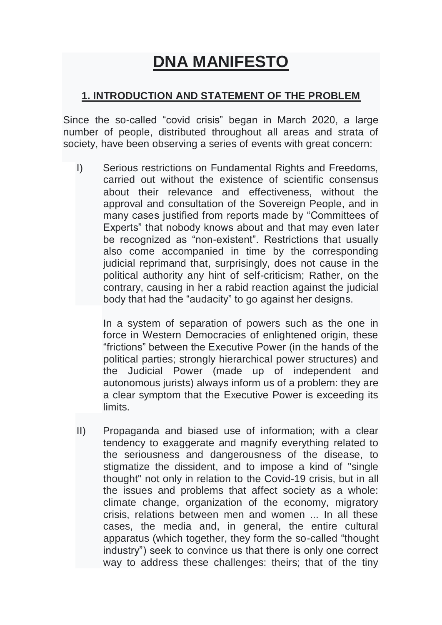# **DNA MANIFESTO**

#### **1. INTRODUCTION AND STATEMENT OF THE PROBLEM**

Since the so-called "covid crisis" began in March 2020, a large number of people, distributed throughout all areas and strata of society, have been observing a series of events with great concern:

I) Serious restrictions on Fundamental Rights and Freedoms, carried out without the existence of scientific consensus about their relevance and effectiveness, without the approval and consultation of the Sovereign People, and in many cases justified from reports made by "Committees of Experts" that nobody knows about and that may even later be recognized as "non-existent". Restrictions that usually also come accompanied in time by the corresponding judicial reprimand that, surprisingly, does not cause in the political authority any hint of self-criticism; Rather, on the contrary, causing in her a rabid reaction against the judicial body that had the "audacity" to go against her designs.

In a system of separation of powers such as the one in force in Western Democracies of enlightened origin, these "frictions" between the Executive Power (in the hands of the political parties; strongly hierarchical power structures) and the Judicial Power (made up of independent and autonomous jurists) always inform us of a problem: they are a clear symptom that the Executive Power is exceeding its limits.

II) Propaganda and biased use of information; with a clear tendency to exaggerate and magnify everything related to the seriousness and dangerousness of the disease, to stigmatize the dissident, and to impose a kind of "single thought" not only in relation to the Covid-19 crisis, but in all the issues and problems that affect society as a whole: climate change, organization of the economy, migratory crisis, relations between men and women ... In all these cases, the media and, in general, the entire cultural apparatus (which together, they form the so-called "thought industry") seek to convince us that there is only one correct way to address these challenges: theirs; that of the tiny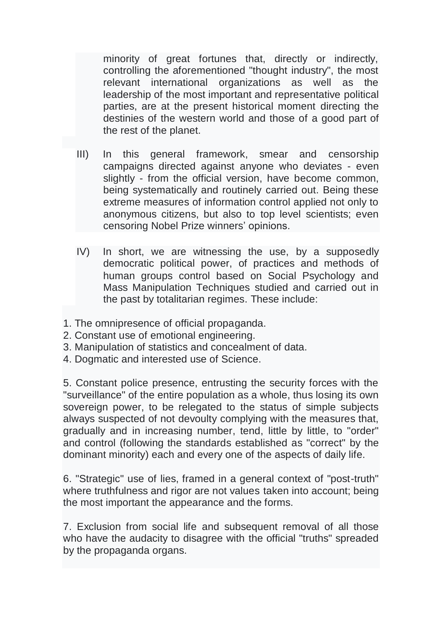minority of great fortunes that, directly or indirectly, controlling the aforementioned "thought industry", the most relevant international organizations as well as the leadership of the most important and representative political parties, are at the present historical moment directing the destinies of the western world and those of a good part of the rest of the planet.

- III) In this general framework, smear and censorship campaigns directed against anyone who deviates - even slightly - from the official version, have become common, being systematically and routinely carried out. Being these extreme measures of information control applied not only to anonymous citizens, but also to top level scientists; even censoring Nobel Prize winners' opinions.
- IV) In short, we are witnessing the use, by a supposedly democratic political power, of practices and methods of human groups control based on Social Psychology and Mass Manipulation Techniques studied and carried out in the past by totalitarian regimes. These include:
- 1. The omnipresence of official propaganda.
- 2. Constant use of emotional engineering.
- 3. Manipulation of statistics and concealment of data.
- 4. Dogmatic and interested use of Science.

5. Constant police presence, entrusting the security forces with the "surveillance" of the entire population as a whole, thus losing its own sovereign power, to be relegated to the status of simple subjects always suspected of not devoulty complying with the measures that, gradually and in increasing number, tend, little by little, to "order" and control (following the standards established as "correct" by the dominant minority) each and every one of the aspects of daily life.

6. "Strategic" use of lies, framed in a general context of "post-truth" where truthfulness and rigor are not values taken into account; being the most important the appearance and the forms.

7. Exclusion from social life and subsequent removal of all those who have the audacity to disagree with the official "truths" spreaded by the propaganda organs.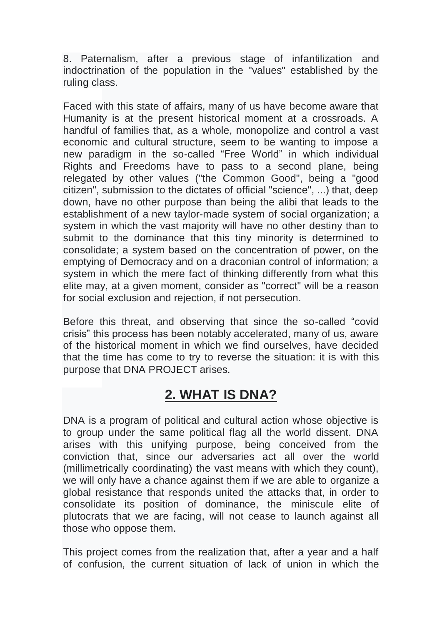8. Paternalism, after a previous stage of infantilization and indoctrination of the population in the "values" established by the ruling class.

Faced with this state of affairs, many of us have become aware that Humanity is at the present historical moment at a crossroads. A handful of families that, as a whole, monopolize and control a vast economic and cultural structure, seem to be wanting to impose a new paradigm in the so-called "Free World" in which individual Rights and Freedoms have to pass to a second plane, being relegated by other values ("the Common Good", being a "good citizen", submission to the dictates of official "science", ...) that, deep down, have no other purpose than being the alibi that leads to the establishment of a new taylor-made system of social organization; a system in which the vast majority will have no other destiny than to submit to the dominance that this tiny minority is determined to consolidate; a system based on the concentration of power, on the emptying of Democracy and on a draconian control of information; a system in which the mere fact of thinking differently from what this elite may, at a given moment, consider as "correct" will be a reason for social exclusion and rejection, if not persecution.

Before this threat, and observing that since the so-called "covid crisis" this process has been notably accelerated, many of us, aware of the historical moment in which we find ourselves, have decided that the time has come to try to reverse the situation: it is with this purpose that DNA PROJECT arises.

# **2. WHAT IS DNA?**

DNA is a program of political and cultural action whose objective is to group under the same political flag all the world dissent. DNA arises with this unifying purpose, being conceived from the conviction that, since our adversaries act all over the world (millimetrically coordinating) the vast means with which they count), we will only have a chance against them if we are able to organize a global resistance that responds united the attacks that, in order to consolidate its position of dominance, the miniscule elite of plutocrats that we are facing, will not cease to launch against all those who oppose them.

This project comes from the realization that, after a year and a half of confusion, the current situation of lack of union in which the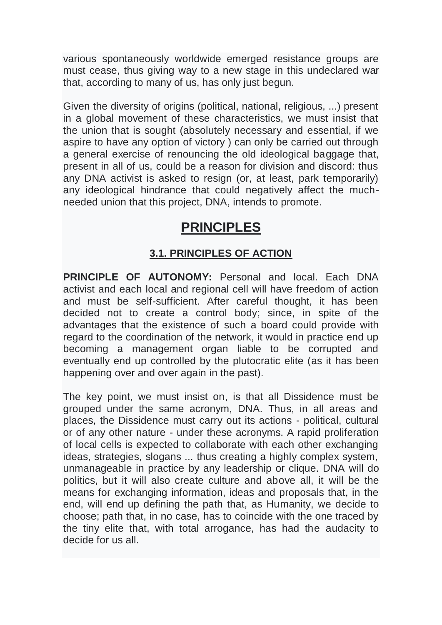various spontaneously worldwide emerged resistance groups are must cease, thus giving way to a new stage in this undeclared war that, according to many of us, has only just begun.

Given the diversity of origins (political, national, religious, ...) present in a global movement of these characteristics, we must insist that the union that is sought (absolutely necessary and essential, if we aspire to have any option of victory ) can only be carried out through a general exercise of renouncing the old ideological baggage that, present in all of us, could be a reason for division and discord: thus any DNA activist is asked to resign (or, at least, park temporarily) any ideological hindrance that could negatively affect the muchneeded union that this project, DNA, intends to promote.

# **PRINCIPLES**

#### **3.1. PRINCIPLES OF ACTION**

**PRINCIPLE OF AUTONOMY:** Personal and local. Each DNA activist and each local and regional cell will have freedom of action and must be self-sufficient. After careful thought, it has been decided not to create a control body; since, in spite of the advantages that the existence of such a board could provide with regard to the coordination of the network, it would in practice end up becoming a management organ liable to be corrupted and eventually end up controlled by the plutocratic elite (as it has been happening over and over again in the past).

The key point, we must insist on, is that all Dissidence must be grouped under the same acronym, DNA. Thus, in all areas and places, the Dissidence must carry out its actions - political, cultural or of any other nature - under these acronyms. A rapid proliferation of local cells is expected to collaborate with each other exchanging ideas, strategies, slogans ... thus creating a highly complex system, unmanageable in practice by any leadership or clique. DNA will do politics, but it will also create culture and above all, it will be the means for exchanging information, ideas and proposals that, in the end, will end up defining the path that, as Humanity, we decide to choose; path that, in no case, has to coincide with the one traced by the tiny elite that, with total arrogance, has had the audacity to decide for us all.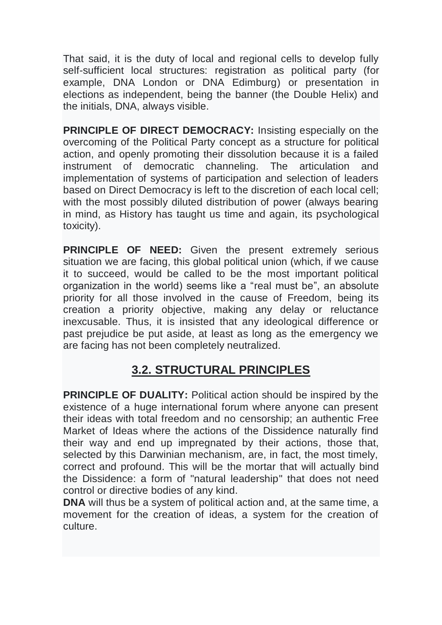That said, it is the duty of local and regional cells to develop fully self-sufficient local structures: registration as political party (for example, DNA London or DNA Edimburg) or presentation in elections as independent, being the banner (the Double Helix) and the initials, DNA, always visible.

**PRINCIPLE OF DIRECT DEMOCRACY:** Insisting especially on the overcoming of the Political Party concept as a structure for political action, and openly promoting their dissolution because it is a failed instrument of democratic channeling. The articulation and implementation of systems of participation and selection of leaders based on Direct Democracy is left to the discretion of each local cell; with the most possibly diluted distribution of power (always bearing in mind, as History has taught us time and again, its psychological toxicity).

**PRINCIPLE OF NEED:** Given the present extremely serious situation we are facing, this global political union (which, if we cause it to succeed, would be called to be the most important political organization in the world) seems like a "real must be", an absolute priority for all those involved in the cause of Freedom, being its creation a priority objective, making any delay or reluctance inexcusable. Thus, it is insisted that any ideological difference or past prejudice be put aside, at least as long as the emergency we are facing has not been completely neutralized.

### **3.2. STRUCTURAL PRINCIPLES**

**PRINCIPLE OF DUALITY:** Political action should be inspired by the existence of a huge international forum where anyone can present their ideas with total freedom and no censorship; an authentic Free Market of Ideas where the actions of the Dissidence naturally find their way and end up impregnated by their actions, those that, selected by this Darwinian mechanism, are, in fact, the most timely, correct and profound. This will be the mortar that will actually bind the Dissidence: a form of "natural leadership" that does not need control or directive bodies of any kind.

**DNA** will thus be a system of political action and, at the same time, a movement for the creation of ideas, a system for the creation of culture.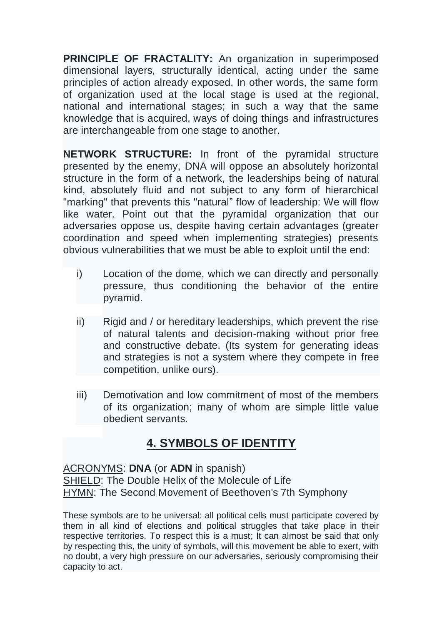**PRINCIPLE OF FRACTALITY:** An organization in superimposed dimensional layers, structurally identical, acting under the same principles of action already exposed. In other words, the same form of organization used at the local stage is used at the regional, national and international stages; in such a way that the same knowledge that is acquired, ways of doing things and infrastructures are interchangeable from one stage to another.

**NETWORK STRUCTURE:** In front of the pyramidal structure presented by the enemy, DNA will oppose an absolutely horizontal structure in the form of a network, the leaderships being of natural kind, absolutely fluid and not subject to any form of hierarchical "marking" that prevents this "natural" flow of leadership: We will flow like water. Point out that the pyramidal organization that our adversaries oppose us, despite having certain advantages (greater coordination and speed when implementing strategies) presents obvious vulnerabilities that we must be able to exploit until the end:

- i) Location of the dome, which we can directly and personally pressure, thus conditioning the behavior of the entire pyramid.
- ii) Rigid and / or hereditary leaderships, which prevent the rise of natural talents and decision-making without prior free and constructive debate. (Its system for generating ideas and strategies is not a system where they compete in free competition, unlike ours).
- iii) Demotivation and low commitment of most of the members of its organization; many of whom are simple little value obedient servants.

## **4. SYMBOLS OF IDENTITY**

ACRONYMS: **DNA** (or **ADN** in spanish) SHIELD: The Double Helix of the Molecule of Life HYMN: The Second Movement of Beethoven's 7th Symphony

These symbols are to be universal: all political cells must participate covered by them in all kind of elections and political struggles that take place in their respective territories. To respect this is a must; It can almost be said that only by respecting this, the unity of symbols, will this movement be able to exert, with no doubt, a very high pressure on our adversaries, seriously compromising their capacity to act.